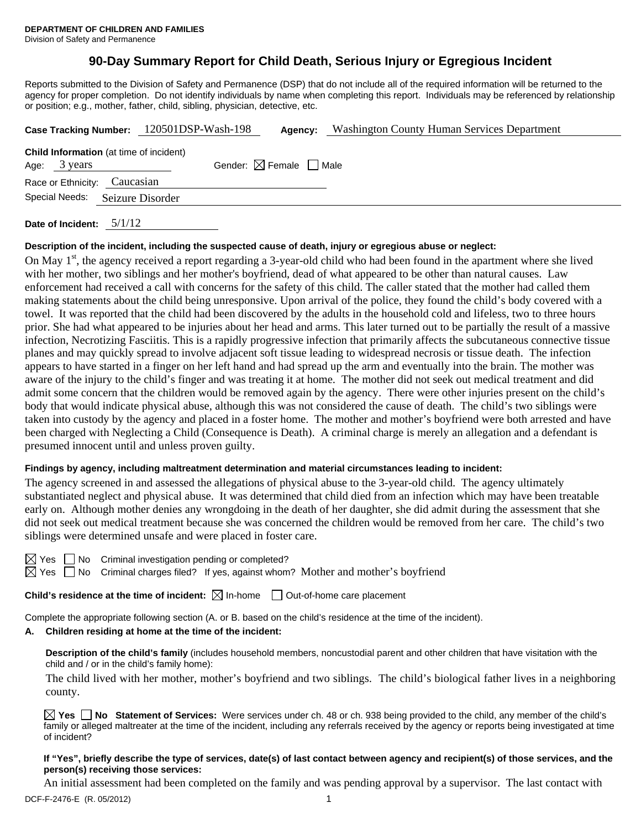# **90-Day Summary Report for Child Death, Serious Injury or Egregious Incident**

Reports submitted to the Division of Safety and Permanence (DSP) that do not include all of the required information will be returned to the agency for proper completion. Do not identify individuals by name when completing this report. Individuals may be referenced by relationship or position; e.g., mother, father, child, sibling, physician, detective, etc.

|                                                                | Case Tracking Number: 120501DSP-Wash-198 | Agency:                                | <b>Washington County Human Services Department</b> |  |  |
|----------------------------------------------------------------|------------------------------------------|----------------------------------------|----------------------------------------------------|--|--|
| <b>Child Information</b> (at time of incident)<br>Age: 3 years |                                          | Gender: $\boxtimes$ Female $\Box$ Male |                                                    |  |  |
| Race or Ethnicity: Caucasian                                   |                                          |                                        |                                                    |  |  |
| Special Needs:<br>Seizure Disorder                             |                                          |                                        |                                                    |  |  |
|                                                                |                                          |                                        |                                                    |  |  |

**Date of Incident:** 5/1/12

# **Description of the incident, including the suspected cause of death, injury or egregious abuse or neglect:**

On May  $1<sup>st</sup>$ , the agency received a report regarding a 3-year-old child who had been found in the apartment where she lived with her mother, two siblings and her mother's boyfriend, dead of what appeared to be other than natural causes. Law enforcement had received a call with concerns for the safety of this child. The caller stated that the mother had called them making statements about the child being unresponsive. Upon arrival of the police, they found the child's body covered with a towel. It was reported that the child had been discovered by the adults in the household cold and lifeless, two to three hours prior. She had what appeared to be injuries about her head and arms. This later turned out to be partially the result of a massive infection, Necrotizing Fasciitis. This is a rapidly progressive infection that primarily affects the subcutaneous connective tissue planes and may quickly spread to involve adjacent soft tissue leading to widespread necrosis or tissue death. The infection appears to have started in a finger on her left hand and had spread up the arm and eventually into the brain. The mother was aware of the injury to the child's finger and was treating it at home. The mother did not seek out medical treatment and did admit some concern that the children would be removed again by the agency. There were other injuries present on the child's body that would indicate physical abuse, although this was not considered the cause of death. The child's two siblings were taken into custody by the agency and placed in a foster home. The mother and mother's boyfriend were both arrested and have been charged with Neglecting a Child (Consequence is Death). A criminal charge is merely an allegation and a defendant is presumed innocent until and unless proven guilty.

# **Findings by agency, including maltreatment determination and material circumstances leading to incident:**

The agency screened in and assessed the allegations of physical abuse to the 3-year-old child. The agency ultimately substantiated neglect and physical abuse. It was determined that child died from an infection which may have been treatable early on. Although mother denies any wrongdoing in the death of her daughter, she did admit during the assessment that she did not seek out medical treatment because she was concerned the children would be removed from her care. The child's two siblings were determined unsafe and were placed in foster care.

No Criminal investigation pending or completed?

Yes  $\Box$  No Criminal charges filed? If yes, against whom? Mother and mother's boyfriend

**Child's residence at the time of incident:**  $\boxtimes$  In-home  $\Box$  Out-of-home care placement

Complete the appropriate following section (A. or B. based on the child's residence at the time of the incident).

# **A. Children residing at home at the time of the incident:**

**Description of the child's family** (includes household members, noncustodial parent and other children that have visitation with the child and / or in the child's family home):

 The child lived with her mother, mother's boyfriend and two siblings. The child's biological father lives in a neighboring county.

**Yes No Statement of Services:** Were services under ch. 48 or ch. 938 being provided to the child, any member of the child's family or alleged maltreater at the time of the incident, including any referrals received by the agency or reports being investigated at time of incident?

### **If "Yes", briefly describe the type of services, date(s) of last contact between agency and recipient(s) of those services, and the person(s) receiving those services:**

An initial assessment had been completed on the family and was pending approval by a supervisor. The last contact with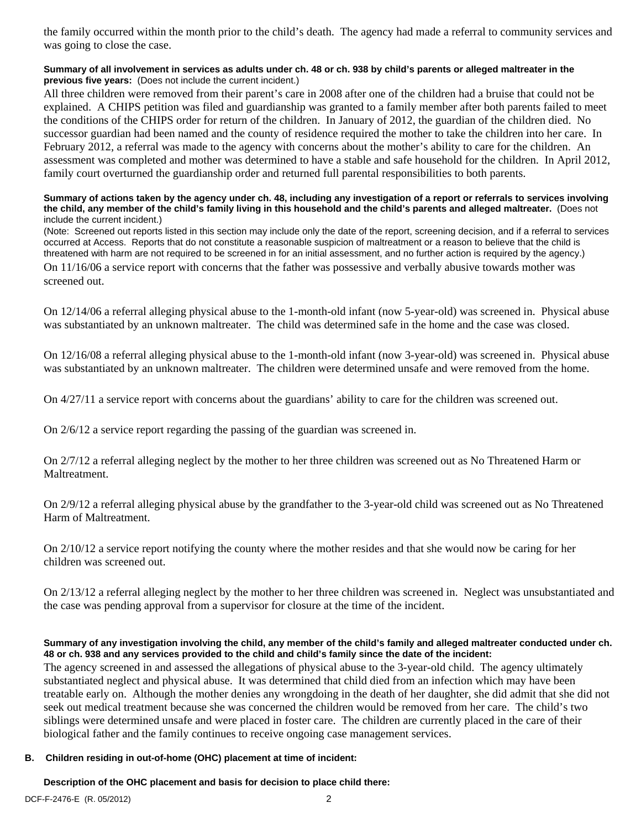the family occurred within the month prior to the child's death. The agency had made a referral to community services and was going to close the case.

# **Summary of all involvement in services as adults under ch. 48 or ch. 938 by child's parents or alleged maltreater in the previous five years:** (Does not include the current incident.)

All three children were removed from their parent's care in 2008 after one of the children had a bruise that could not be explained. A CHIPS petition was filed and guardianship was granted to a family member after both parents failed to meet the conditions of the CHIPS order for return of the children. In January of 2012, the guardian of the children died. No successor guardian had been named and the county of residence required the mother to take the children into her care. In February 2012, a referral was made to the agency with concerns about the mother's ability to care for the children. An assessment was completed and mother was determined to have a stable and safe household for the children. In April 2012, family court overturned the guardianship order and returned full parental responsibilities to both parents.

#### **Summary of actions taken by the agency under ch. 48, including any investigation of a report or referrals to services involving the child, any member of the child's family living in this household and the child's parents and alleged maltreater.** (Does not include the current incident.)

(Note: Screened out reports listed in this section may include only the date of the report, screening decision, and if a referral to services occurred at Access. Reports that do not constitute a reasonable suspicion of maltreatment or a reason to believe that the child is threatened with harm are not required to be screened in for an initial assessment, and no further action is required by the agency.)

On 11/16/06 a service report with concerns that the father was possessive and verbally abusive towards mother was screened out.

On 12/14/06 a referral alleging physical abuse to the 1-month-old infant (now 5-year-old) was screened in. Physical abuse was substantiated by an unknown maltreater. The child was determined safe in the home and the case was closed.

On 12/16/08 a referral alleging physical abuse to the 1-month-old infant (now 3-year-old) was screened in. Physical abuse was substantiated by an unknown maltreater. The children were determined unsafe and were removed from the home.

On 4/27/11 a service report with concerns about the guardians' ability to care for the children was screened out.

On 2/6/12 a service report regarding the passing of the guardian was screened in.

On 2/7/12 a referral alleging neglect by the mother to her three children was screened out as No Threatened Harm or Maltreatment.

On 2/9/12 a referral alleging physical abuse by the grandfather to the 3-year-old child was screened out as No Threatened Harm of Maltreatment.

On 2/10/12 a service report notifying the county where the mother resides and that she would now be caring for her children was screened out.

On 2/13/12 a referral alleging neglect by the mother to her three children was screened in. Neglect was unsubstantiated and the case was pending approval from a supervisor for closure at the time of the incident.

# **Summary of any investigation involving the child, any member of the child's family and alleged maltreater conducted under ch. 48 or ch. 938 and any services provided to the child and child's family since the date of the incident:**

The agency screened in and assessed the allegations of physical abuse to the 3-year-old child. The agency ultimately substantiated neglect and physical abuse. It was determined that child died from an infection which may have been treatable early on. Although the mother denies any wrongdoing in the death of her daughter, she did admit that she did not seek out medical treatment because she was concerned the children would be removed from her care. The child's two siblings were determined unsafe and were placed in foster care. The children are currently placed in the care of their biological father and the family continues to receive ongoing case management services.

# **B. Children residing in out-of-home (OHC) placement at time of incident:**

# **Description of the OHC placement and basis for decision to place child there:**